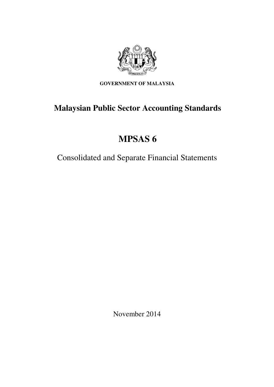

**GOVERNMENT OF MALAYSIA** 

# **Malaysian Public Sector Accounting Standards**

# **MPSAS 6**

Consolidated and Separate Financial Statements

November 2014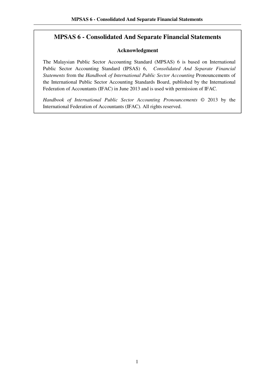## **MPSAS 6 - Consolidated And Separate Financial Statements**

#### **Acknowledgment**

The Malaysian Public Sector Accounting Standard (MPSAS) 6 is based on International Public Sector Accounting Standard (IPSAS) 6, *Consolidated And Separate Financial Statements* from the *Handbook of International Public Sector Accounting* Pronouncements of the International Public Sector Accounting Standards Board, published by the International Federation of Accountants (IFAC) in June 2013 and is used with permission of IFAC.

*Handbook of International Public Sector Accounting Pronouncements* © 2013 by the International Federation of Accountants (IFAC). All rights reserved.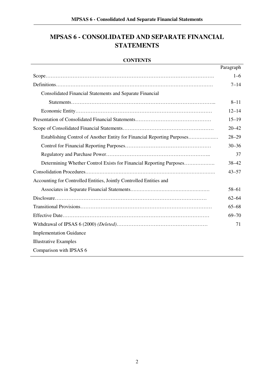## **MPSAS 6 - CONSOLIDATED AND SEPARATE FINANCIAL STATEMENTS**

#### **CONTENTS**

|                                                                         | Paragraph |
|-------------------------------------------------------------------------|-----------|
|                                                                         | $1 - 6$   |
|                                                                         | $7 - 14$  |
| <b>Consolidated Financial Statements and Separate Financial</b>         |           |
|                                                                         | $8 - 11$  |
|                                                                         | $12 - 14$ |
|                                                                         | $15 - 19$ |
|                                                                         | $20 - 42$ |
| Establishing Control of Another Entity for Financial Reporting Purposes | $28 - 29$ |
|                                                                         | $30 - 36$ |
|                                                                         | 37        |
| Determining Whether Control Exists for Financial Reporting Purposes     | $38 - 42$ |
|                                                                         | $43 - 57$ |
| Accounting for Controlled Entities, Jointly Controlled Entities and     |           |
|                                                                         | $58 - 61$ |
|                                                                         | $62 - 64$ |
|                                                                         | $65 - 68$ |
|                                                                         | $69 - 70$ |
|                                                                         | 71        |
| <b>Implementation Guidance</b>                                          |           |
| <b>Illustrative Examples</b>                                            |           |
| Comparison with IPSAS 6                                                 |           |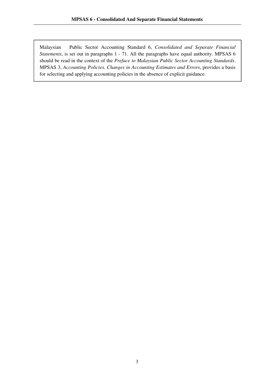Malaysian Public Sector Accounting Standard 6, *Consolidated and Separate Financial Statements*, is set out in paragraphs 1 - 71. All the paragraphs have equal authority. MPSAS 6 should be read in the context of the *Preface to Malaysian Public Sector Accounting Standards*. MPSAS 3, *Accounting Policies, Changes in Accounting Estimates and Errors*, provides a basis for selecting and applying accounting policies in the absence of explicit guidance.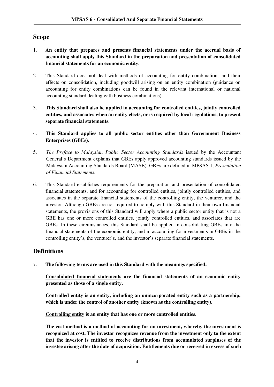## **Scope**

- 1. **An entity that prepares and presents financial statements under the accrual basis of accounting shall apply this Standard in the preparation and presentation of consolidated financial statements for an economic entity.**
- 2. This Standard does not deal with methods of accounting for entity combinations and their effects on consolidation, including goodwill arising on an entity combination (guidance on accounting for entity combinations can be found in the relevant international or national accounting standard dealing with business combinations).
- 3. **This Standard shall also be applied in accounting for controlled entities, jointly controlled entities, and associates when an entity elects, or is required by local regulations, to present separate financial statements.**
- 4. **This Standard applies to all public sector entities other than Government Business Enterprises (GBEs).**
- 5. *The Preface to Malaysian Public Sector Accounting Standards* issued by the Accountant General's Department explains that GBEs apply approved accounting standards issued by the Malaysian Accounting Standards Board (MASB). GBEs are defined in MPSAS 1, *Presentation of Financial Statements.*
- 6. This Standard establishes requirements for the preparation and presentation of consolidated financial statements, and for accounting for controlled entities, jointly controlled entities, and associates in the separate financial statements of the controlling entity, the venturer, and the investor. Although GBEs are not required to comply with this Standard in their own financial statements, the provisions of this Standard will apply where a public sector entity that is not a GBE has one or more controlled entities, jointly controlled entities, and associates that are GBEs. In these circumstances, this Standard shall be applied in consolidating GBEs into the financial statements of the economic entity, and in accounting for investments in GBEs in the controlling entity's, the venturer's, and the investor's separate financial statements.

## **Definitions**

7. **The following terms are used in this Standard with the meanings specified:** 

**Consolidated financial statements are the financial statements of an economic entity presented as those of a single entity.** 

**Controlled entity is an entity, including an unincorporated entity such as a partnership, which is under the control of another entity (known as the controlling entity).** 

**Controlling entity is an entity that has one or more controlled entities.** 

**The cost method is a method of accounting for an investment, whereby the investment is recognized at cost. The investor recognizes revenue from the investment only to the extent that the investor is entitled to receive distributions from accumulated surpluses of the investee arising after the date of acquisition. Entitlements due or received in excess of such**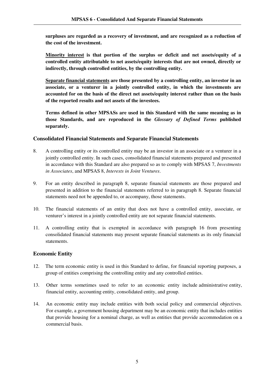**surpluses are regarded as a recovery of investment, and are recognized as a reduction of the cost of the investment.** 

**Minority interest is that portion of the surplus or deficit and net assets/equity of a controlled entity attributable to net assets/equity interests that are not owned, directly or indirectly, through controlled entities, by the controlling entity.**

**Separate financial statements are those presented by a controlling entity, an investor in an associate, or a venturer in a jointly controlled entity, in which the investments are accounted for on the basis of the direct net assets/equity interest rather than on the basis of the reported results and net assets of the investees.**

**Terms defined in other MPSASs are used in this Standard with the same meaning as in those Standards, and are reproduced in the** *Glossary of Defined Terms* **published separately.**

#### **Consolidated Financial Statements and Separate Financial Statements**

- 8. A controlling entity or its controlled entity may be an investor in an associate or a venturer in a jointly controlled entity. In such cases, consolidated financial statements prepared and presented in accordance with this Standard are also prepared so as to comply with MPSAS 7, *Investments in Associates*, and MPSAS 8, *Interests in Joint Ventures*.
- 9. For an entity described in paragraph 8, separate financial statements are those prepared and presented in addition to the financial statements referred to in paragraph 8. Separate financial statements need not be appended to, or accompany, those statements.
- 10. The financial statements of an entity that does not have a controlled entity, associate, or venturer's interest in a jointly controlled entity are not separate financial statements.
- 11. A controlling entity that is exempted in accordance with paragraph 16 from presenting consolidated financial statements may present separate financial statements as its only financial statements.

#### **Economic Entity**

- 12. The term economic entity is used in this Standard to define, for financial reporting purposes, a group of entities comprising the controlling entity and any controlled entities.
- 13. Other terms sometimes used to refer to an economic entity include administrative entity, financial entity, accounting entity, consolidated entity, and group.
- 14. An economic entity may include entities with both social policy and commercial objectives. For example, a government housing department may be an economic entity that includes entities that provide housing for a nominal charge, as well as entities that provide accommodation on a commercial basis.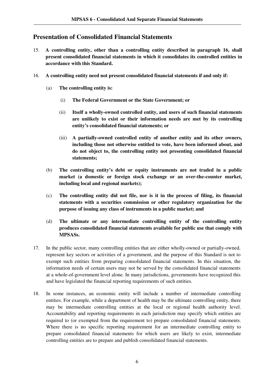## **Presentation of Consolidated Financial Statements**

- 15. **A controlling entity, other than a controlling entity described in paragraph 16, shall present consolidated financial statements in which it consolidates its controlled entities in accordance with this Standard.**
- 16. **A controlling entity need not present consolidated financial statements if and only if:** 
	- (a) **The controlling entity is:** 
		- (i) **The Federal Government or the State Government; or**
		- (ii) **Itself a wholly-owned controlled entity, and users of such financial statements are unlikely to exist or their information needs are met by its controlling entity's consolidated financial statements; or**
		- (iii) **A partially-owned controlled entity of another entity and its other owners, including those not otherwise entitled to vote, have been informed about, and do not object to, the controlling entity not presenting consolidated financial statements;**
	- (b) **The controlling entity's debt or equity instruments are not traded in a public market (a domestic or foreign stock exchange or an over-the-counter market, including local and regional markets);**
	- (c) **The controlling entity did not file, nor is it in the process of filing, its financial statements with a securities commission or other regulatory organization for the purpose of issuing any class of instruments in a public market; and**
	- (d) **The ultimate or any intermediate controlling entity of the controlling entity produces consolidated financial statements available for public use that comply with MPSASs.**
- 17. In the public sector, many controlling entities that are either wholly-owned or partially-owned, represent key sectors or activities of a government, and the purpose of this Standard is not to exempt such entities from preparing consolidated financial statements. In this situation, the information needs of certain users may not be served by the consolidated financial statements at a whole-of-government level alone. In many jurisdictions, governments have recognized this and have legislated the financial reporting requirements of such entities.
- 18. In some instances, an economic entity will include a number of intermediate controlling entities. For example, while a department of health may be the ultimate controlling entity, there may be intermediate controlling entities at the local or regional health authority level. Accountability and reporting requirements in each jurisdiction may specify which entities are required to (or exempted from the requirement to) prepare consolidated financial statements. Where there is no specific reporting requirement for an intermediate controlling entity to prepare consolidated financial statements for which users are likely to exist, intermediate controlling entities are to prepare and publish consolidated financial statements.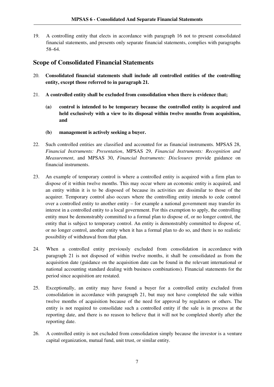19. A controlling entity that elects in accordance with paragraph 16 not to present consolidated financial statements, and presents only separate financial statements, complies with paragraphs 58–64.

## **Scope of Consolidated Financial Statements**

- 20. **Consolidated financial statements shall include all controlled entities of the controlling entity, except those referred to in paragraph 21.**
- 21. **A controlled entity shall be excluded from consolidation when there is evidence that;**
	- **(a) control is intended to be temporary because the controlled entity is acquired and held exclusively with a view to its disposal within twelve months from acquisition, and**
	- **(b) management is actively seeking a buyer.**
- 22. Such controlled entities are classified and accounted for as financial instruments. MPSAS 28, *Financial Instruments: Presentation*, MPSAS 29, *Financial Instruments: Recognition and Measurement*, and MPSAS 30, *Financial Instruments: Disclosures* provide guidance on financial instruments.
- 23. An example of temporary control is where a controlled entity is acquired with a firm plan to dispose of it within twelve months. This may occur where an economic entity is acquired, and an entity within it is to be disposed of because its activities are dissimilar to those of the acquirer. Temporary control also occurs where the controlling entity intends to cede control over a controlled entity to another entity – for example a national government may transfer its interest in a controlled entity to a local government. For this exemption to apply, the controlling entity must be demonstrably committed to a formal plan to dispose of, or no longer control, the entity that is subject to temporary control. An entity is demonstrably committed to dispose of, or no longer control, another entity when it has a formal plan to do so, and there is no realistic possibility of withdrawal from that plan.
- 24. When a controlled entity previously excluded from consolidation in accordance with paragraph 21 is not disposed of within twelve months, it shall be consolidated as from the acquisition date (guidance on the acquisition date can be found in the relevant international or national accounting standard dealing with business combinations). Financial statements for the period since acquisition are restated.
- 25. Exceptionally, an entity may have found a buyer for a controlled entity excluded from consolidation in accordance with paragraph 21, but may not have completed the sale within twelve months of acquisition because of the need for approval by regulators or others. The entity is not required to consolidate such a controlled entity if the sale is in process at the reporting date, and there is no reason to believe that it will not be completed shortly after the reporting date.
- 26. A controlled entity is not excluded from consolidation simply because the investor is a venture capital organization, mutual fund, unit trust, or similar entity.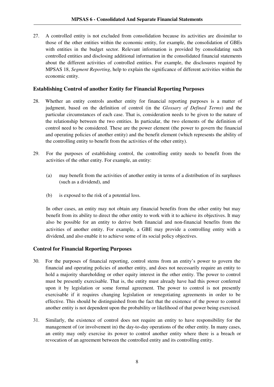27. A controlled entity is not excluded from consolidation because its activities are dissimilar to those of the other entities within the economic entity, for example, the consolidation of GBEs with entities in the budget sector. Relevant information is provided by consolidating such controlled entities and disclosing additional information in the consolidated financial statements about the different activities of controlled entities. For example, the disclosures required by MPSAS 18, *Segment Reporting*, help to explain the significance of different activities within the economic entity.

#### **Establishing Control of another Entity for Financial Reporting Purposes**

- 28. Whether an entity controls another entity for financial reporting purposes is a matter of judgment, based on the definition of control (in the *Glossary of Defined Terms*) and the particular circumstances of each case. That is, consideration needs to be given to the nature of the relationship between the two entities. In particular, the two elements of the definition of control need to be considered. These are the power element (the power to govern the financial and operating policies of another entity) and the benefit element (which represents the ability of the controlling entity to benefit from the activities of the other entity).
- 29. For the purposes of establishing control, the controlling entity needs to benefit from the activities of the other entity. For example, an entity:
	- (a) may benefit from the activities of another entity in terms of a distribution of its surpluses (such as a dividend), and
	- (b) is exposed to the risk of a potential loss.

In other cases, an entity may not obtain any financial benefits from the other entity but may benefit from its ability to direct the other entity to work with it to achieve its objectives. It may also be possible for an entity to derive both financial and non-financial benefits from the activities of another entity. For example, a GBE may provide a controlling entity with a dividend, and also enable it to achieve some of its social policy objectives.

#### **Control for Financial Reporting Purposes**

- 30. For the purposes of financial reporting, control stems from an entity's power to govern the financial and operating policies of another entity, and does not necessarily require an entity to hold a majority shareholding or other equity interest in the other entity. The power to control must be presently exercisable. That is, the entity must already have had this power conferred upon it by legislation or some formal agreement. The power to control is not presently exercisable if it requires changing legislation or renegotiating agreements in order to be effective. This should be distinguished from the fact that the existence of the power to control another entity is not dependent upon the probability or likelihood of that power being exercised.
- 31. Similarly, the existence of control does not require an entity to have responsibility for the management of (or involvement in) the day-to-day operations of the other entity. In many cases, an entity may only exercise its power to control another entity where there is a breach or revocation of an agreement between the controlled entity and its controlling entity.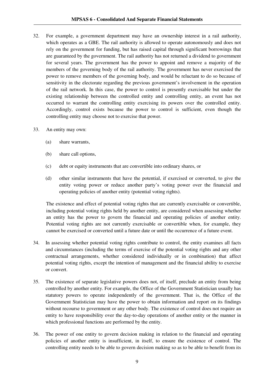- 32. For example, a government department may have an ownership interest in a rail authority, which operates as a GBE. The rail authority is allowed to operate autonomously and does not rely on the government for funding, but has raised capital through significant borrowings that are guaranteed by the government. The rail authority has not returned a dividend to government for several years. The government has the power to appoint and remove a majority of the members of the governing body of the rail authority. The government has never exercised the power to remove members of the governing body, and would be reluctant to do so because of sensitivity in the electorate regarding the previous government's involvement in the operation of the rail network. In this case, the power to control is presently exercisable but under the existing relationship between the controlled entity and controlling entity, an event has not occurred to warrant the controlling entity exercising its powers over the controlled entity. Accordingly, control exists because the power to control is sufficient, even though the controlling entity may choose not to exercise that power.
- 33. An entity may own:
	- (a) share warrants,
	- (b) share call options,
	- (c) debt or equity instruments that are convertible into ordinary shares, or
	- (d) other similar instruments that have the potential, if exercised or converted, to give the entity voting power or reduce another party's voting power over the financial and operating policies of another entity (potential voting rights).

The existence and effect of potential voting rights that are currently exercisable or convertible, including potential voting rights held by another entity, are considered when assessing whether an entity has the power to govern the financial and operating policies of another entity. Potential voting rights are not currently exercisable or convertible when, for example, they cannot be exercised or converted until a future date or until the occurrence of a future event.

- 34. In assessing whether potential voting rights contribute to control, the entity examines all facts and circumstances (including the terms of exercise of the potential voting rights and any other contractual arrangements, whether considered individually or in combination) that affect potential voting rights, except the intention of management and the financial ability to exercise or convert.
- 35. The existence of separate legislative powers does not, of itself, preclude an entity from being controlled by another entity. For example, the Office of the Government Statistician usually has statutory powers to operate independently of the government. That is, the Office of the Government Statistician may have the power to obtain information and report on its findings without recourse to government or any other body. The existence of control does not require an entity to have responsibility over the day-to-day operations of another entity or the manner in which professional functions are performed by the entity.
- 36. The power of one entity to govern decision making in relation to the financial and operating policies of another entity is insufficient, in itself, to ensure the existence of control. The controlling entity needs to be able to govern decision making so as to be able to benefit from its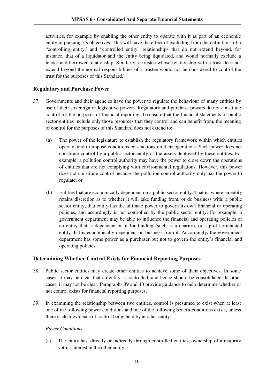activities, for example by enabling the other entity to operate with it as part of an economic entity in pursuing its objectives. This will have the effect of excluding from the definitions of a "controlling entity" and "controlled entity" relationships that do not extend beyond, for instance, that of a liquidator and the entity being liquidated, and would normally exclude a lender and borrower relationship. Similarly, a trustee whose relationship with a trust does not extend beyond the normal responsibilities of a trustee would not be considered to control the trust for the purposes of this Standard.

#### **Regulatory and Purchase Power**

- 37. Governments and their agencies have the power to regulate the behaviour of many entities by use of their sovereign or legislative powers. Regulatory and purchase powers do not constitute control for the purposes of financial reporting. To ensure that the financial statements of public sector entities include only those resources that they control and can benefit from, the meaning of control for the purposes of this Standard does not extend to:
	- (a) The power of the legislature to establish the regulatory framework within which entities operate, and to impose conditions or sanctions on their operations. Such power does not constitute control by a public sector entity of the assets deployed by these entities. For example, a pollution control authority may have the power to close down the operations of entities that are not complying with environmental regulations. However, this power does not constitute control because the pollution control authority only has the power to regulate; or
	- (b) Entities that are economically dependent on a public sector entity. That is, where an entity retains discretion as to whether it will take funding from, or do business with, a public sector entity, that entity has the ultimate power to govern its own financial or operating policies, and accordingly is not controlled by the public sector entity. For example, a government department may be able to influence the financial and operating policies of an entity that is dependent on it for funding (such as a charity), or a profit-orientated entity that is economically dependent on business from it. Accordingly, the government department has some power as a purchaser but not to govern the entity's financial and operating policies.

#### **Determining Whether Control Exists for Financial Reporting Purposes**

- 38. Public sector entities may create other entities to achieve some of their objectives. In some cases, it may be clear that an entity is controlled, and hence should be consolidated. In other cases, it may not be clear. Paragraphs 39 and 40 provide guidance to help determine whether or not control exists for financial reporting purposes.
- 39. In examining the relationship between two entities, control is presumed to exist when at least one of the following power conditions and one of the following benefit conditions exists, unless there is clear evidence of control being held by another entity.

#### *Power Conditions*

(a) The entity has, directly or indirectly through controlled entities, ownership of a majority voting interest in the other entity.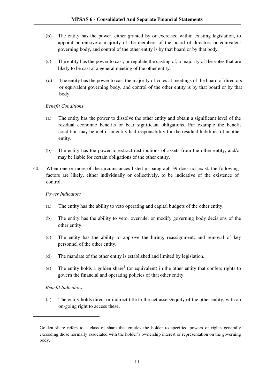- (b) The entity has the power, either granted by or exercised within existing legislation, to appoint or remove a majority of the members of the board of directors or equivalent governing body, and control of the other entity is by that board or by that body.
- (c) The entity has the power to cast, or regulate the casting of, a majority of the votes that are likely to be cast at a general meeting of the other entity.
- (d) The entity has the power to cast the majority of votes at meetings of the board of directors or equivalent governing body, and control of the other entity is by that board or by that body.

#### *Benefit Conditions*

- (a) The entity has the power to dissolve the other entity and obtain a significant level of the residual economic benefits or bear significant obligations. For example the benefit condition may be met if an entity had responsibility for the residual liabilities of another entity.
- (b) The entity has the power to extract distributions of assets from the other entity, and/or may be liable for certain obligations of the other entity.
- 40. When one or more of the circumstances listed in paragraph 39 does not exist, the following factors are likely, either individually or collectively, to be indicative of the existence of control.

#### *Power Indicators*

- (a) The entity has the ability to veto operating and capital budgets of the other entity.
- (b) The entity has the ability to veto, overrule, or modify governing body decisions of the other entity.
- (c) The entity has the ability to approve the hiring, reassignment, and removal of key personnel of the other entity.
- (d) The mandate of the other entity is established and limited by legislation.
- (e) The entity holds a golden share<sup>1</sup> (or equivalent) in the other entity that confers rights to govern the financial and operating policies of that other entity.

#### *Benefit Indicators*

 $\overline{a}$ 

(a) The entity holds direct or indirect title to the net assets/equity of the other entity, with an on-going right to access these.

<sup>1</sup> Golden share refers to a class of share that entitles the holder to specified powers or rights generally exceeding those normally associated with the holder's ownership interest or representation on the governing body.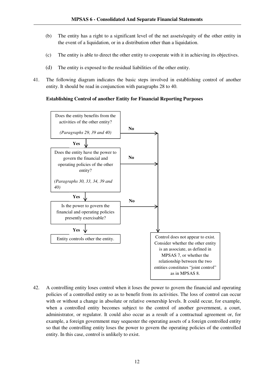- (b) The entity has a right to a significant level of the net assets/equity of the other entity in the event of a liquidation, or in a distribution other than a liquidation.
- (c) The entity is able to direct the other entity to cooperate with it in achieving its objectives.
- (d) The entity is exposed to the residual liabilities of the other entity.
- 41. The following diagram indicates the basic steps involved in establishing control of another entity. It should be read in conjunction with paragraphs 28 to 40.

#### **Establishing Control of another Entity for Financial Reporting Purposes**



42. A controlling entity loses control when it loses the power to govern the financial and operating policies of a controlled entity so as to benefit from its activities. The loss of control can occur with or without a change in absolute or relative ownership levels. It could occur, for example, when a controlled entity becomes subject to the control of another government, a court, administrator, or regulator. It could also occur as a result of a contractual agreement or, for example, a foreign government may sequester the operating assets of a foreign controlled entity so that the controlling entity loses the power to govern the operating policies of the controlled entity. In this case, control is unlikely to exist.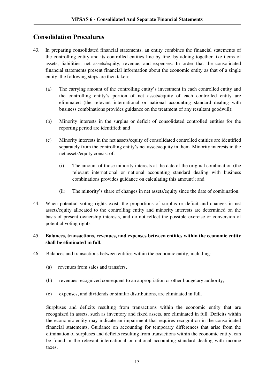## **Consolidation Procedures**

- 43. In preparing consolidated financial statements, an entity combines the financial statements of the controlling entity and its controlled entities line by line, by adding together like items of assets, liabilities, net assets/equity, revenue, and expenses. In order that the consolidated financial statements present financial information about the economic entity as that of a single entity, the following steps are then taken:
	- (a) The carrying amount of the controlling entity's investment in each controlled entity and the controlling entity's portion of net assets/equity of each controlled entity are eliminated (the relevant international or national accounting standard dealing with business combinations provides guidance on the treatment of any resultant goodwill);
	- (b) Minority interests in the surplus or deficit of consolidated controlled entities for the reporting period are identified; and
	- (c) Minority interests in the net assets/equity of consolidated controlled entities are identified separately from the controlling entity's net assets/equity in them. Minority interests in the net assets/equity consist of:
		- (i) The amount of those minority interests at the date of the original combination (the relevant international or national accounting standard dealing with business combinations provides guidance on calculating this amount); and
		- (ii) The minority's share of changes in net assets/equity since the date of combination.
- 44. When potential voting rights exist, the proportions of surplus or deficit and changes in net assets/equity allocated to the controlling entity and minority interests are determined on the basis of present ownership interests, and do not reflect the possible exercise or conversion of potential voting rights.

#### 45. **Balances, transactions, revenues, and expenses between entities within the economic entity shall be eliminated in full.**

- 46. Balances and transactions between entities within the economic entity, including:
	- (a) revenues from sales and transfers,
	- (b) revenues recognized consequent to an appropriation or other budgetary authority,
	- (c) expenses, and dividends or similar distributions, are eliminated in full.

Surpluses and deficits resulting from transactions within the economic entity that are recognized in assets, such as inventory and fixed assets, are eliminated in full. Deficits within the economic entity may indicate an impairment that requires recognition in the consolidated financial statements. Guidance on accounting for temporary differences that arise from the elimination of surpluses and deficits resulting from transactions within the economic entity, can be found in the relevant international or national accounting standard dealing with income taxes.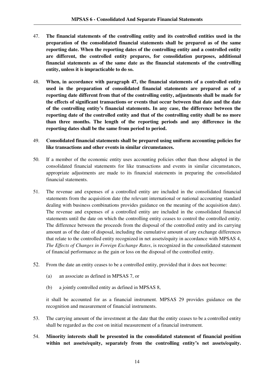- 47. **The financial statements of the controlling entity and its controlled entities used in the preparation of the consolidated financial statements shall be prepared as of the same reporting date. When the reporting dates of the controlling entity and a controlled entity are different, the controlled entity prepares, for consolidation purposes, additional financial statements as of the same date as the financial statements of the controlling entity, unless it is impracticable to do so.**
- 48. **When, in accordance with paragraph 47, the financial statements of a controlled entity used in the preparation of consolidated financial statements are prepared as of a reporting date different from that of the controlling entity, adjustments shall be made for the effects of significant transactions or events that occur between that date and the date of the controlling entity's financial statements. In any case, the difference between the reporting date of the controlled entity and that of the controlling entity shall be no more than three months. The length of the reporting periods and any difference in the reporting dates shall be the same from period to period.**
- 49. **Consolidated financial statements shall be prepared using uniform accounting policies for like transactions and other events in similar circumstances.**
- 50. If a member of the economic entity uses accounting policies other than those adopted in the consolidated financial statements for like transactions and events in similar circumstances, appropriate adjustments are made to its financial statements in preparing the consolidated financial statements.
- 51. The revenue and expenses of a controlled entity are included in the consolidated financial statements from the acquisition date (the relevant international or national accounting standard dealing with business combinations provides guidance on the meaning of the acquisition date). The revenue and expenses of a controlled entity are included in the consolidated financial statements until the date on which the controlling entity ceases to control the controlled entity. The difference between the proceeds from the disposal of the controlled entity and its carrying amount as of the date of disposal, including the cumulative amount of any exchange differences that relate to the controlled entity recognized in net assets/equity in accordance with MPSAS 4, *The Effects of Changes in Foreign Exchange Rates*, is recognized in the consolidated statement of financial performance as the gain or loss on the disposal of the controlled entity.
- 52. From the date an entity ceases to be a controlled entity, provided that it does not become:
	- (a) an associate as defined in MPSAS 7, or
	- (b) a jointly controlled entity as defined in MPSAS 8,

it shall be accounted for as a financial instrument. MPSAS 29 provides guidance on the recognition and measurement of financial instruments.

- 53. The carrying amount of the investment at the date that the entity ceases to be a controlled entity shall be regarded as the cost on initial measurement of a financial instrument.
- 54. **Minority interests shall be presented in the consolidated statement of financial position within net assets/equity, separately from the controlling entity's net assets/equity.**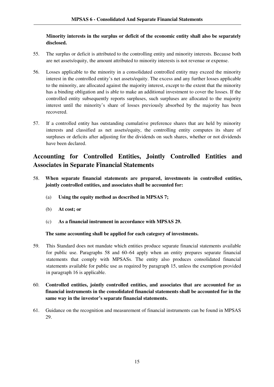#### **Minority interests in the surplus or deficit of the economic entity shall also be separately disclosed.**

- 55. The surplus or deficit is attributed to the controlling entity and minority interests. Because both are net assets/equity, the amount attributed to minority interests is not revenue or expense.
- 56. Losses applicable to the minority in a consolidated controlled entity may exceed the minority interest in the controlled entity's net assets/equity. The excess and any further losses applicable to the minority, are allocated against the majority interest, except to the extent that the minority has a binding obligation and is able to make an additional investment to cover the losses. If the controlled entity subsequently reports surpluses, such surpluses are allocated to the majority interest until the minority's share of losses previously absorbed by the majority has been recovered.
- 57. If a controlled entity has outstanding cumulative preference shares that are held by minority interests and classified as net assets/equity, the controlling entity computes its share of surpluses or deficits after adjusting for the dividends on such shares, whether or not dividends have been declared.

## **Accounting for Controlled Entities, Jointly Controlled Entities and Associates in Separate Financial Statements**

- 58. **When separate financial statements are prepared, investments in controlled entities, jointly controlled entities, and associates shall be accounted for:** 
	- (a) **Using the equity method as described in MPSAS 7;**
	- (b) **At cost; or**
	- (c) **As a financial instrument in accordance with MPSAS 29.**

#### **The same accounting shall be applied for each category of investments.**

- 59. This Standard does not mandate which entities produce separate financial statements available for public use. Paragraphs 58 and 60–64 apply when an entity prepares separate financial statements that comply with MPSASs. The entity also produces consolidated financial statements available for public use as required by paragraph 15, unless the exemption provided in paragraph 16 is applicable.
- 60. **Controlled entities, jointly controlled entities, and associates that are accounted for as financial instruments in the consolidated financial statements shall be accounted for in the same way in the investor's separate financial statements.**
- 61. Guidance on the recognition and measurement of financial instruments can be found in MPSAS 29.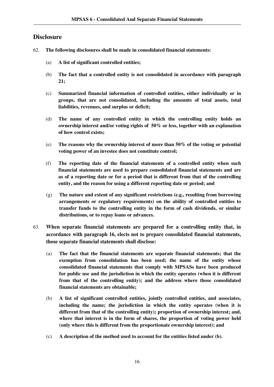## **Disclosure**

- 62. **The following disclosures shall be made in consolidated financial statements:** 
	- (a) **A list of significant controlled entities;**
	- (b) **The fact that a controlled entity is not consolidated in accordance with paragraph 21;**
	- (c) **Summarized financial information of controlled entities, either individually or in groups, that are not consolidated, including the amounts of total assets, total liabilities, revenues, and surplus or deficit;**
	- (d) **The name of any controlled entity in which the controlling entity holds an ownership interest and/or voting rights of 50% or less, together with an explanation of how control exists;**
	- (e) **The reasons why the ownership interest of more than 50% of the voting or potential voting power of an investee does not constitute control;**
	- (f) **The reporting date of the financial statements of a controlled entity when such financial statements are used to prepare consolidated financial statements and are as of a reporting date or for a period that is different from that of the controlling entity, and the reason for using a different reporting date or period; and**
	- (g) **The nature and extent of any significant restrictions (e.g., resulting from borrowing arrangements or regulatory requirements) on the ability of controlled entities to transfer funds to the controlling entity in the form of cash dividends, or similar distributions, or to repay loans or advances.**
- 63. **When separate financial statements are prepared for a controlling entity that, in accordance with paragraph 16, elects not to prepare consolidated financial statements, those separate financial statements shall disclose:**
	- (a) **The fact that the financial statements are separate financial statements; that the exemption from consolidation has been used; the name of the entity whose consolidated financial statements that comply with MPSASs have been produced for public use and the jurisdiction in which the entity operates (when it is different from that of the controlling entity); and the address where those consolidated financial statements are obtainable;**
	- (b) **A list of significant controlled entities, jointly controlled entities, and associates, including the name; the jurisdiction in which the entity operates (when it is different from that of the controlling entity); proportion of ownership interest; and, where that interest is in the form of shares, the proportion of voting power held (only where this is different from the proportionate ownership interest); and**
	- (c) **A description of the method used to account for the entities listed under (b).**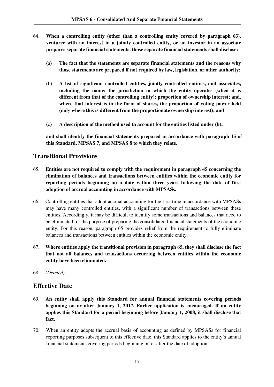- 64. **When a controlling entity (other than a controlling entity covered by paragraph 63), venturer with an interest in a jointly controlled entity, or an investor in an associate prepares separate financial statements, those separate financial statements shall disclose:**
	- (a) **The fact that the statements are separate financial statements and the reasons why those statements are prepared if not required by law, legislation, or other authority;**
	- (b) **A list of significant controlled entities, jointly controlled entities, and associates, including the name; the jurisdiction in which the entity operates (when it is different from that of the controlling entity); proportion of ownership interest; and, where that interest is in the form of shares, the proportion of voting power held (only where this is different from the proportionate ownership interest); and**
	- (c) **A description of the method used to account for the entities listed under (b);**

**and shall identify the financial statements prepared in accordance with paragraph 15 of this Standard, MPSAS 7, and MPSAS 8 to which they relate.** 

## **Transitional Provisions**

- 65. **Entities are not required to comply with the requirement in paragraph 45 concerning the elimination of balances and transactions between entities within the economic entity for reporting periods beginning on a date within three years following the date of first adoption of accrual accounting in accordance with MPSASs.**
- 66. Controlling entities that adopt accrual accounting for the first time in accordance with MPSASs may have many controlled entities, with a significant number of transactions between these entities. Accordingly, it may be difficult to identify some transactions and balances that need to be eliminated for the purpose of preparing the consolidated financial statements of the economic entity. For this reason, paragraph 65 provides relief from the requirement to fully eliminate balances and transactions between entities within the economic entity.
- 67. **Where entities apply the transitional provision in paragraph 65, they shall disclose the fact that not all balances and transactions occurring between entities within the economic entity have been eliminated.**
- 68. *(Deleted)*

## **Effective Date**

- 69. **An entity shall apply this Standard for annual financial statements covering periods beginning on or after January 1, 2017. Earlier application is encouraged. If an entity applies this Standard for a period beginning before January 1, 2008, it shall disclose that fact.**
- 70. When an entity adopts the accrual basis of accounting as defined by MPSASs for financial reporting purposes subsequent to this effective date, this Standard applies to the entity's annual financial statements covering periods beginning on or after the date of adoption.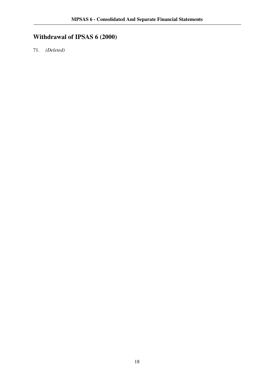# **Withdrawal of IPSAS 6 (2000)**

71. *(Deleted)*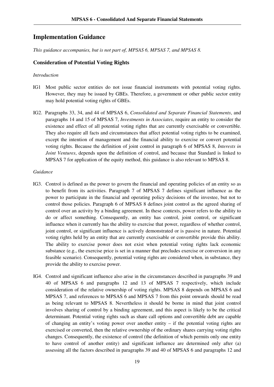## **Implementation Guidance**

*This guidance accompanies, but is not part of, MPSAS 6, MPSAS 7, and MPSAS 8.*

#### **Consideration of Potential Voting Rights**

#### *Introduction*

- IG1 Most public sector entities do not issue financial instruments with potential voting rights. However, they may be issued by GBEs. Therefore, a government or other public sector entity may hold potential voting rights of GBEs.
- IG2. Paragraphs 33, 34, and 44 of MPSAS 6, *Consolidated and Separate Financial Statements*, and paragraphs 14 and 15 of MPSAS 7, *Investments in Associates*, require an entity to consider the existence and effect of all potential voting rights that are currently exercisable or convertible. They also require all facts and circumstances that affect potential voting rights to be examined, except the intention of management and the financial ability to exercise or convert potential voting rights. Because the definition of joint control in paragraph 6 of MPSAS 8, *Interests in Joint Ventures*, depends upon the definition of control, and because that Standard is linked to MPSAS 7 for application of the equity method, this guidance is also relevant to MPSAS 8.

#### *Guidance*

- IG3. Control is defined as the power to govern the financial and operating policies of an entity so as to benefit from its activities. Paragraph 7 of MPSAS 7 defines significant influence as the power to participate in the financial and operating policy decisions of the investee, but not to control those policies. Paragraph 6 of MPSAS 8 defines joint control as the agreed sharing of control over an activity by a binding agreement. In these contexts, power refers to the ability to do or affect something. Consequently, an entity has control, joint control, or significant influence when it currently has the ability to exercise that power, regardless of whether control, joint control, or significant influence is actively demonstrated or is passive in nature. Potential voting rights held by an entity that are currently exercisable or convertible provide this ability. The ability to exercise power does not exist when potential voting rights lack economic substance (e.g., the exercise price is set in a manner that precludes exercise or conversion in any feasible scenario). Consequently, potential voting rights are considered when, in substance, they provide the ability to exercise power.
- IG4. Control and significant influence also arise in the circumstances described in paragraphs 39 and 40 of MPSAS 6 and paragraphs 12 and 13 of MPSAS 7 respectively, which include consideration of the relative ownership of voting rights. MPSAS 8 depends on MPSAS 6 and MPSAS 7, and references to MPSAS 6 and MPSAS 7 from this point onwards should be read as being relevant to MPSAS 8. Nevertheless it should be borne in mind that joint control involves sharing of control by a binding agreement, and this aspect is likely to be the critical determinant. Potential voting rights such as share call options and convertible debt are capable of changing an entity's voting power over another entity – if the potential voting rights are exercised or converted, then the relative ownership of the ordinary shares carrying voting rights changes. Consequently, the existence of control (the definition of which permits only one entity to have control of another entity) and significant influence are determined only after (a) assessing all the factors described in paragraphs 39 and 40 of MPSAS 6 and paragraphs 12 and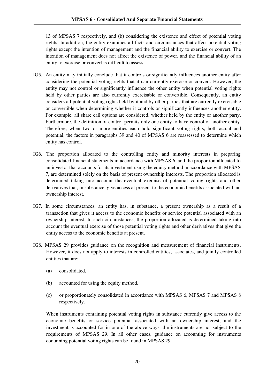13 of MPSAS 7 respectively, and (b) considering the existence and effect of potential voting rights. In addition, the entity examines all facts and circumstances that affect potential voting rights except the intention of management and the financial ability to exercise or convert. The intention of management does not affect the existence of power, and the financial ability of an entity to exercise or convert is difficult to assess.

- IG5. An entity may initially conclude that it controls or significantly influences another entity after considering the potential voting rights that it can currently exercise or convert. However, the entity may not control or significantly influence the other entity when potential voting rights held by other parties are also currently exercisable or convertible. Consequently, an entity considers all potential voting rights held by it and by other parties that are currently exercisable or convertible when determining whether it controls or significantly influences another entity. For example, all share call options are considered, whether held by the entity or another party. Furthermore, the definition of control permits only one entity to have control of another entity. Therefore, when two or more entities each hold significant voting rights, both actual and potential, the factors in paragraphs 39 and 40 of MPSAS 6 are reassessed to determine which entity has control.
- IG6. The proportion allocated to the controlling entity and minority interests in preparing consolidated financial statements in accordance with MPSAS 6, and the proportion allocated to an investor that accounts for its investment using the equity method in accordance with MPSAS 7, are determined solely on the basis of present ownership interests. The proportion allocated is determined taking into account the eventual exercise of potential voting rights and other derivatives that, in substance, give access at present to the economic benefits associated with an ownership interest.
- IG7. In some circumstances, an entity has, in substance, a present ownership as a result of a transaction that gives it access to the economic benefits or service potential associated with an ownership interest. In such circumstances, the proportion allocated is determined taking into account the eventual exercise of those potential voting rights and other derivatives that give the entity access to the economic benefits at present.
- IG8. MPSAS 29 provides guidance on the recognition and measurement of financial instruments. However, it does not apply to interests in controlled entities, associates, and jointly controlled entities that are:
	- (a) consolidated,
	- (b) accounted for using the equity method,
	- (c) or proportionately consolidated in accordance with MPSAS 6, MPSAS 7 and MPSAS 8 respectively.

When instruments containing potential voting rights in substance currently give access to the economic benefits or service potential associated with an ownership interest, and the investment is accounted for in one of the above ways, the instruments are not subject to the requirements of MPSAS 29. In all other cases, guidance on accounting for instruments containing potential voting rights can be found in MPSAS 29.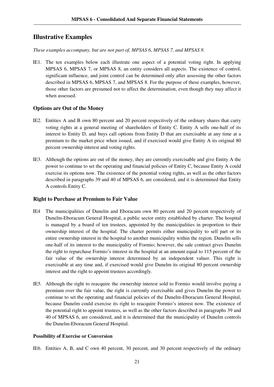## **Illustrative Examples**

*These examples accompany, but are not part of, MPSAS 6, MPSAS 7, and MPSAS 8.*

IE1. The ten examples below each illustrate one aspect of a potential voting right. In applying MPSAS 6, MPSAS 7, or MPSAS 8, an entity considers all aspects. The existence of control, significant influence, and joint control can be determined only after assessing the other factors described in MPSAS 6, MPSAS 7, and MPSAS 8. For the purpose of these examples, however, those other factors are presumed not to affect the determination, even though they may affect it when assessed.

#### **Options are Out of the Money**

- IE2. Entities A and B own 80 percent and 20 percent respectively of the ordinary shares that carry voting rights at a general meeting of shareholders of Entity C. Entity A sells one-half of its interest to Entity D, and buys call options from Entity D that are exercisable at any time at a premium to the market price when issued, and if exercised would give Entity A its original 80 percent ownership interest and voting rights.
- IE3. Although the options are out of the money, they are currently exercisable and give Entity A the power to continue to set the operating and financial policies of Entity C, because Entity A could exercise its options now. The existence of the potential voting rights, as well as the other factors described in paragraphs 39 and 40 of MPSAS 6, are considered, and it is determined that Entity A controls Entity C.

#### **Right to Purchase at Premium to Fair Value**

- IE4 The municipalities of Dunelm and Eboracum own 80 percent and 20 percent respectively of Dunelm-Eboracum General Hospital, a public sector entity established by charter. The hospital is managed by a board of ten trustees, appointed by the municipalities in proportion to their ownership interest of the hospital. The charter permits either municipality to sell part or its entire ownership interest in the hospital to another municipality within the region. Dunelm sells one-half of its interest to the municipality of Formio; however, the sale contract gives Dunelm the right to repurchase Formio's interest in the hospital at an amount equal to 115 percent of the fair value of the ownership interest determined by an independent valuer. This right is exercisable at any time and, if exercised would give Dunelm its original 80 percent ownership interest and the right to appoint trustees accordingly.
- IE5. Although the right to reacquire the ownership interest sold to Formio would involve paying a premium over the fair value, the right is currently exercisable and gives Dunelm the power to continue to set the operating and financial policies of the Dunelm-Eboracum General Hospital, because Dunelm could exercise its right to reacquire Formio's interest now. The existence of the potential right to appoint trustees, as well as the other factors described in paragraphs 39 and 40 of MPSAS 6, are considered, and it is determined that the municipality of Dunelm controls the Dunelm-Eboracum General Hospital.

#### **Possibility of Exercise or Conversion**

IE6. Entities A, B, and C own 40 percent, 30 percent, and 30 percent respectively of the ordinary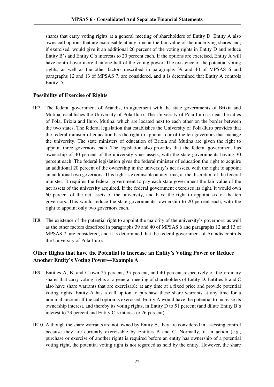shares that carry voting rights at a general meeting of shareholders of Entity D. Entity A also owns call options that are exercisable at any time at the fair value of the underlying shares and, if exercised, would give it an additional 20 percent of the voting rights in Entity D and reduce Entity B's and Entity C's interests to 20 percent each. If the options are exercised, Entity A will have control over more than one-half of the voting power. The existence of the potential voting rights, as well as the other factors described in paragraphs 39 and 40 of MPSAS 6 and paragraphs 12 and 13 of MPSAS 7, are considered, and it is determined that Entity A controls Entity D.

#### **Possibility of Exercise of Rights**

- IE7. The federal government of Arandis, in agreement with the state governments of Brixia and Mutina, establishes the University of Pola-Iluro. The University of Pola-Iluro is near the cities of Pola, Brixia and Iluro, Mutina, which are located next to each other on the border between the two states. The federal legislation that establishes the University of Pola-Iluro provides that the federal minister of education has the right to appoint four of the ten governors that manage the university. The state ministers of education of Brixia and Mutina are given the right to appoint three governors each. The legislation also provides that the federal government has ownership of 40 percent of the university's net assets, with the state governments having 30 percent each. The federal legislation gives the federal minister of education the right to acquire an additional 20 percent of the ownership in the university's net assets, with the right to appoint an additional two governors. This right is exercisable at any time, at the discretion of the federal minister. It requires the federal government to pay each state government the fair value of the net assets of the university acquired. If the federal government exercises its right, it would own 60 percent of the net assets of the university, and have the right to appoint six of the ten governors. This would reduce the state governments' ownership to 20 percent each, with the right to appoint only two governors each.
- IE8. The existence of the potential right to appoint the majority of the university's governors, as well as the other factors described in paragraphs 39 and 40 of MPSAS 6 and paragraphs 12 and 13 of MPSAS 7, are considered, and it is determined that the federal government of Arandis controls the University of Pola-Iluro.

## **Other Rights that have the Potential to Increase an Entity's Voting Power or Reduce Another Entity's Voting Power—Example A**

- IE9. Entities A, B, and C own 25 percent, 35 percent, and 40 percent respectively of the ordinary shares that carry voting rights at a general meeting of shareholders of Entity D. Entities B and C also have share warrants that are exercisable at any time at a fixed price and provide potential voting rights. Entity A has a call option to purchase these share warrants at any time for a nominal amount. If the call option is exercised, Entity A would have the potential to increase its ownership interest, and thereby its voting rights, in Entity D to 51 percent (and dilute Entity B's interest to 23 percent and Entity C's interest to 26 percent).
- IE10. Although the share warrants are not owned by Entity A, they are considered in assessing control because they are currently exercisable by Entities B and C. Normally, if an action  $(e.g.,)$ purchase or exercise of another right) is required before an entity has ownership of a potential voting right, the potential voting right is not regarded as held by the entity. However, the share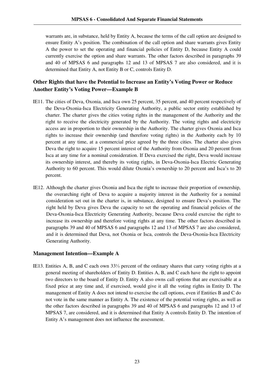warrants are, in substance, held by Entity A, because the terms of the call option are designed to ensure Entity A's position. The combination of the call option and share warrants gives Entity A the power to set the operating and financial policies of Entity D, because Entity A could currently exercise the option and share warrants. The other factors described in paragraphs 39 and 40 of MPSAS 6 and paragraphs 12 and 13 of MPSAS 7 are also considered, and it is determined that Entity A, not Entity B or C, controls Entity D.

## **Other Rights that have the Potential to Increase an Entity's Voting Power or Reduce Another Entity's Voting Power—Example B**

- IE11. The cities of Deva, Oxonia, and Isca own 25 percent, 35 percent, and 40 percent respectively of the Deva-Oxonia-Isca Electricity Generating Authority, a public sector entity established by charter. The charter gives the cities voting rights in the management of the Authority and the right to receive the electricity generated by the Authority. The voting rights and electricity access are in proportion to their ownership in the Authority. The charter gives Oxonia and Isca rights to increase their ownership (and therefore voting rights) in the Authority each by 10 percent at any time, at a commercial price agreed by the three cities. The charter also gives Deva the right to acquire 15 percent interest of the Authority from Oxonia and 20 percent from Isca at any time for a nominal consideration. If Deva exercised the right, Deva would increase its ownership interest, and thereby its voting rights, in Deva-Oxonia-Isca Electric Generating Authority to 60 percent. This would dilute Oxonia's ownership to 20 percent and Isca's to 20 percent.
- IE12. Although the charter gives Oxonia and Isca the right to increase their proportion of ownership, the overarching right of Deva to acquire a majority interest in the Authority for a nominal consideration set out in the charter is, in substance, designed to ensure Deva's position. The right held by Deva gives Deva the capacity to set the operating and financial policies of the Deva-Oxonia-Isca Electricity Generating Authority, because Deva could exercise the right to increase its ownership and therefore voting rights at any time. The other factors described in paragraphs 39 and 40 of MPSAS 6 and paragraphs 12 and 13 of MPSAS 7 are also considered, and it is determined that Deva, not Oxonia or Isca, controls the Deva-Oxonia-Isca Electricity Generating Authority.

#### **Management Intention—Example A**

IE13. Entities A, B, and C each own 33⅓ percent of the ordinary shares that carry voting rights at a general meeting of shareholders of Entity D. Entities A, B, and C each have the right to appoint two directors to the board of Entity D. Entity A also owns call options that are exercisable at a fixed price at any time and, if exercised, would give it all the voting rights in Entity D. The management of Entity A does not intend to exercise the call options, even if Entities B and C do not vote in the same manner as Entity A. The existence of the potential voting rights, as well as the other factors described in paragraphs 39 and 40 of MPSAS 6 and paragraphs 12 and 13 of MPSAS 7, are considered, and it is determined that Entity A controls Entity D. The intention of Entity A's management does not influence the assessment.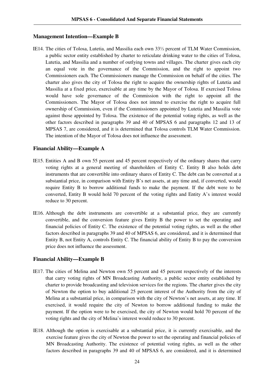#### **Management Intention—Example B**

IE14. The cities of Tolosa, Lutetia, and Massilia each own 33⅓ percent of TLM Water Commission, a public sector entity established by charter to reticulate drinking water to the cities of Tolosa, Lutetia, and Massilia and a number of outlying towns and villages. The charter gives each city an equal vote in the governance of the Commission, and the right to appoint two Commissioners each. The Commissioners manage the Commission on behalf of the cities. The charter also gives the city of Tolosa the right to acquire the ownership rights of Lutetia and Massilia at a fixed price, exercisable at any time by the Mayor of Tolosa. If exercised Tolosa would have sole governance of the Commission with the right to appoint all the Commissioners. The Mayor of Tolosa does not intend to exercise the right to acquire full ownership of Commission, even if the Commissioners appointed by Lutetia and Massilia vote against those appointed by Tolosa. The existence of the potential voting rights, as well as the other factors described in paragraphs 39 and 40 of MPSAS 6 and paragraphs 12 and 13 of MPSAS 7, are considered, and it is determined that Tolosa controls TLM Water Commission. The intention of the Mayor of Tolosa does not influence the assessment.

#### **Financial Ability—Example A**

- IE15. Entities A and B own 55 percent and 45 percent respectively of the ordinary shares that carry voting rights at a general meeting of shareholders of Entity C. Entity B also holds debt instruments that are convertible into ordinary shares of Entity C. The debt can be converted at a substantial price, in comparison with Entity B's net assets, at any time and, if converted, would require Entity B to borrow additional funds to make the payment. If the debt were to be converted, Entity B would hold 70 percent of the voting rights and Entity A's interest would reduce to 30 percent.
- IE16. Although the debt instruments are convertible at a substantial price, they are currently convertible, and the conversion feature gives Entity B the power to set the operating and financial policies of Entity C. The existence of the potential voting rights, as well as the other factors described in paragraphs 39 and 40 of MPSAS 6, are considered, and it is determined that Entity B, not Entity A, controls Entity C. The financial ability of Entity B to pay the conversion price does not influence the assessment.

#### **Financial Ability—Example B**

- IE17. The cities of Melina and Newton own 55 percent and 45 percent respectively of the interests that carry voting rights of MN Broadcasting Authority, a public sector entity established by charter to provide broadcasting and television services for the regions. The charter gives the city of Newton the option to buy additional 25 percent interest of the Authority from the city of Melina at a substantial price, in comparison with the city of Newton's net assets, at any time. If exercised, it would require the city of Newton to borrow additional funding to make the payment. If the option were to be exercised, the city of Newton would hold 70 percent of the voting rights and the city of Melina's interest would reduce to 30 percent.
- IE18. Although the option is exercisable at a substantial price, it is currently exercisable, and the exercise feature gives the city of Newton the power to set the operating and financial policies of MN Broadcasting Authority. The existence of potential voting rights, as well as the other factors described in paragraphs 39 and 40 of MPSAS 6, are considered, and it is determined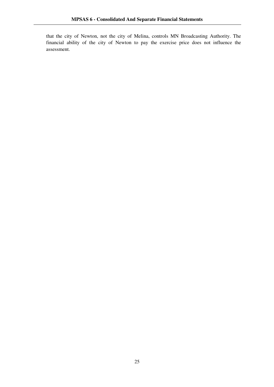that the city of Newton, not the city of Melina, controls MN Broadcasting Authority. The financial ability of the city of Newton to pay the exercise price does not influence the assessment.